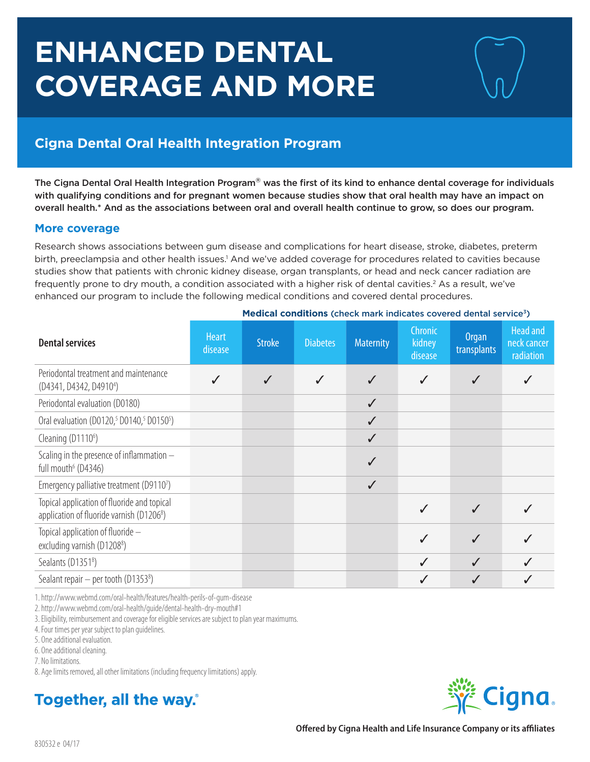# **ENHANCED DENTAL COVERAGE AND MORE**

# **Cigna Dental Oral Health Integration Program**

The Cigna Dental Oral Health Integration Program® was the first of its kind to enhance dental coverage for individuals with qualifying conditions and for pregnant women because studies show that oral health may have an impact on overall health.\* And as the associations between oral and overall health continue to grow, so does our program.

#### **More coverage**

Research shows associations between gum disease and complications for heart disease, stroke, diabetes, preterm birth, preeclampsia and other health issues.<sup>1</sup> And we've added coverage for procedures related to cavities because studies show that patients with chronic kidney disease, organ transplants, or head and neck cancer radiation are frequently prone to dry mouth, a condition associated with a higher risk of dental cavities.<sup>2</sup> As a result, we've enhanced our program to include the following medical conditions and covered dental procedures.

| <b>Dental services</b>                                                                               | <b>Heart</b><br>disease | <b>Stroke</b> | <b>Diabetes</b> | <b>Maternity</b> | Chronic<br>kidney<br>disease | Organ<br>transplants | <b>Head and</b><br>neck cancer<br>radiation |
|------------------------------------------------------------------------------------------------------|-------------------------|---------------|-----------------|------------------|------------------------------|----------------------|---------------------------------------------|
| Periodontal treatment and maintenance<br>(D4341, D4342, D49104)                                      |                         |               |                 | $\checkmark$     |                              |                      |                                             |
| Periodontal evaluation (D0180)                                                                       |                         |               |                 | $\checkmark$     |                              |                      |                                             |
| Oral evaluation (D0120, <sup>5</sup> D0140, <sup>5</sup> D0150 <sup>5</sup> )                        |                         |               |                 | $\checkmark$     |                              |                      |                                             |
| Cleaning (D1110 <sup>6</sup> )                                                                       |                         |               |                 | $\checkmark$     |                              |                      |                                             |
| Scaling in the presence of inflammation -<br>full mouth <sup>6</sup> (D4346)                         |                         |               |                 | $\checkmark$     |                              |                      |                                             |
| Emergency palliative treatment (D91107)                                                              |                         |               |                 | $\checkmark$     |                              |                      |                                             |
| Topical application of fluoride and topical<br>application of fluoride varnish (D1206 <sup>8</sup> ) |                         |               |                 |                  |                              |                      |                                             |
| Topical application of fluoride -<br>excluding varnish (D1208 <sup>8</sup> )                         |                         |               |                 |                  | $\checkmark$                 | $\checkmark$         |                                             |
| Sealants (D1351 <sup>8</sup> )                                                                       |                         |               |                 |                  | $\checkmark$                 | $\checkmark$         |                                             |
| Sealant repair $-$ per tooth (D1353 <sup>8</sup> )                                                   |                         |               |                 |                  |                              |                      |                                             |

**Medical conditions** (check mark indicates covered dental service<sup>3</sup>)

1. http://www.webmd.com/oral-health/features/health-perils-of-gum-disease

2. http://www.webmd.com/oral-health/guide/dental-health-dry-mouth#1

3. Eligibility, reimbursement and coverage for eligible services are subject to plan year maximums.

4. Four times per year subject to plan guidelines.

5. One additional evaluation.

6. One additional cleaning.

7. No limitations.

8. Age limits removed, all other limitations (including frequency limitations) apply.

# Together, all the way.